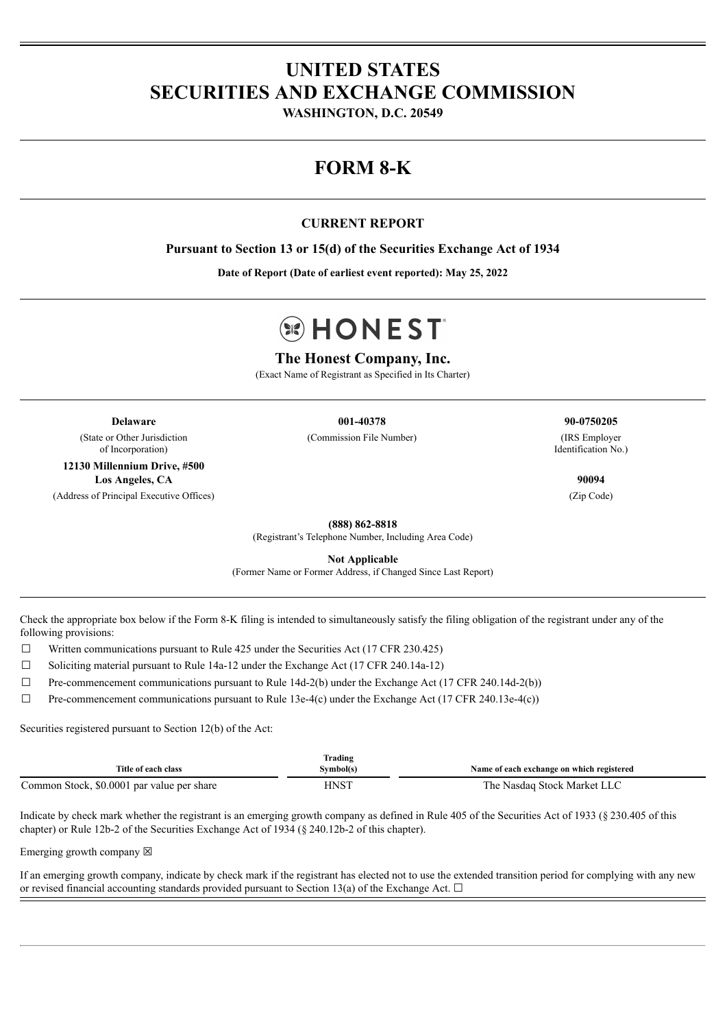# **UNITED STATES SECURITIES AND EXCHANGE COMMISSION**

**WASHINGTON, D.C. 20549**

# **FORM 8-K**

## **CURRENT REPORT**

**Pursuant to Section 13 or 15(d) of the Securities Exchange Act of 1934**

**Date of Report (Date of earliest event reported): May 25, 2022**

# **BIHONEST**

## **The Honest Company, Inc.**

(Exact Name of Registrant as Specified in Its Charter)

**Delaware 001-40378 90-0750205** (State or Other Jurisdiction of Incorporation)

**12130 Millennium Drive, #500 Los Angeles, CA 90094** (Address of Principal Executive Offices) (Zip Code)

(Commission File Number) (IRS Employer

Identification No.)

**(888) 862-8818**

(Registrant's Telephone Number, Including Area Code)

**Not Applicable**

(Former Name or Former Address, if Changed Since Last Report)

Check the appropriate box below if the Form 8-K filing is intended to simultaneously satisfy the filing obligation of the registrant under any of the following provisions:

 $\Box$  Written communications pursuant to Rule 425 under the Securities Act (17 CFR 230.425)

 $\Box$  Soliciting material pursuant to Rule 14a-12 under the Exchange Act (17 CFR 240.14a-12)

 $\Box$  Pre-commencement communications pursuant to Rule 14d-2(b) under the Exchange Act (17 CFR 240.14d-2(b))

 $\Box$  Pre-commencement communications pursuant to Rule 13e-4(c) under the Exchange Act (17 CFR 240.13e-4(c))

Securities registered pursuant to Section 12(b) of the Act:

| Title of each class                        | Frading<br>Symbol(s)          | Name of each exchange on which registered |
|--------------------------------------------|-------------------------------|-------------------------------------------|
| Common Stock, \$0.0001 par value per share | H <sub>N</sub> S <sup>T</sup> | The Nasdag Stock Market LLC               |

Indicate by check mark whether the registrant is an emerging growth company as defined in Rule 405 of the Securities Act of 1933 (§ 230.405 of this chapter) or Rule 12b-2 of the Securities Exchange Act of 1934 (§ 240.12b-2 of this chapter).

Emerging growth company  $\boxtimes$ 

If an emerging growth company, indicate by check mark if the registrant has elected not to use the extended transition period for complying with any new or revised financial accounting standards provided pursuant to Section 13(a) of the Exchange Act.  $\Box$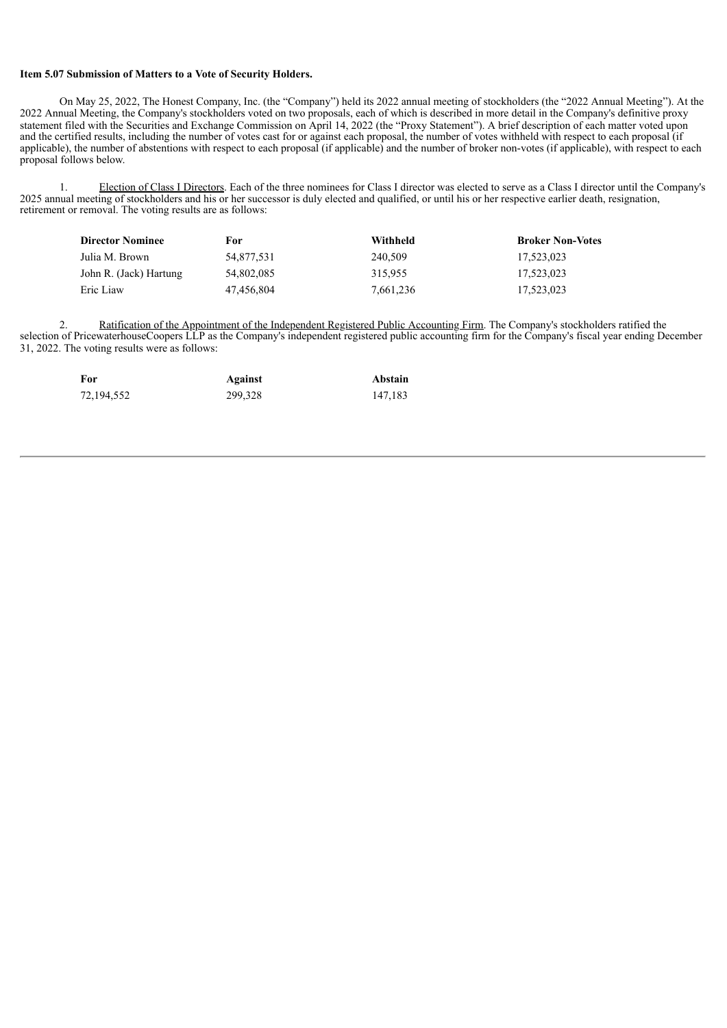#### **Item 5.07 Submission of Matters to a Vote of Security Holders.**

On May 25, 2022, The Honest Company, Inc. (the "Company") held its 2022 annual meeting of stockholders (the "2022 Annual Meeting"). At the 2022 Annual Meeting, the Company's stockholders voted on two proposals, each of which is described in more detail in the Company's definitive proxy statement filed with the Securities and Exchange Commission on April 14, 2022 (the "Proxy Statement"). A brief description of each matter voted upon and the certified results, including the number of votes cast for or against each proposal, the number of votes withheld with respect to each proposal (if applicable), the number of abstentions with respect to each proposal (if applicable) and the number of broker non-votes (if applicable), with respect to each proposal follows below.

1. Election of Class I Directors. Each of the three nominees for Class I director was elected to serve as a Class I director until the Company's 2025 annual meeting of stockholders and his or her successor is duly elected and qualified, or until his or her respective earlier death, resignation, retirement or removal. The voting results are as follows:

| <b>Director Nominee</b> | For        | Withheld  | <b>Broker Non-Votes</b> |
|-------------------------|------------|-----------|-------------------------|
| Julia M. Brown          | 54.877.531 | 240.509   | 17.523.023              |
| John R. (Jack) Hartung  | 54.802.085 | 315.955   | 17.523.023              |
| Eric Liaw               | 47.456.804 | 7,661,236 | 17.523.023              |

2. Ratification of the Appointment of the Independent Registered Public Accounting Firm. The Company's stockholders ratified the selection of PricewaterhouseCoopers LLP as the Company's independent registered public accounting firm for the Company's fiscal year ending December 31, 2022. The voting results were as follows:

| For        | Against | Abstain |
|------------|---------|---------|
| 72,194,552 | 299,328 | 147,183 |